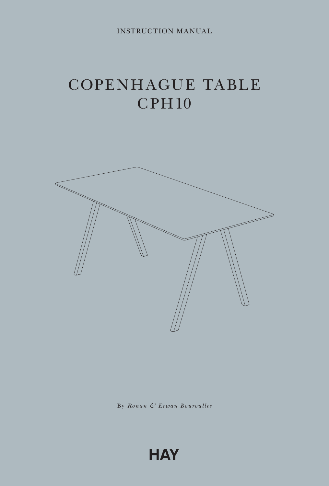INSTRUCTION MANUAL

# COPENHAGUE TABLE **CPH10**



By *Ronan & Erwan Bouroullec*

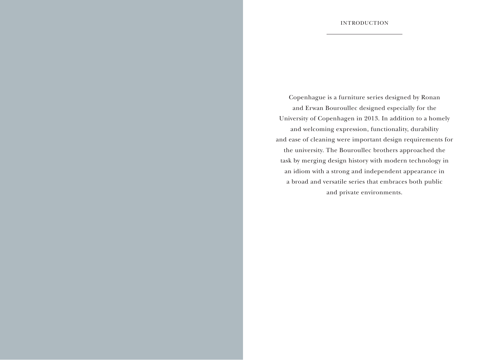Copenhague is a furniture series designed by Ronan and Erwan Bouroullec designed especially for the University of Copenhagen in 2013. In addition to a homely and welcoming expression, functionality, durability and ease of cleaning were important design requirements for the university. The Bouroullec brothers approached the task by merging design history with modern technology in an idiom with a strong and independent appearance in a broad and versatile series that embraces both public and private environments.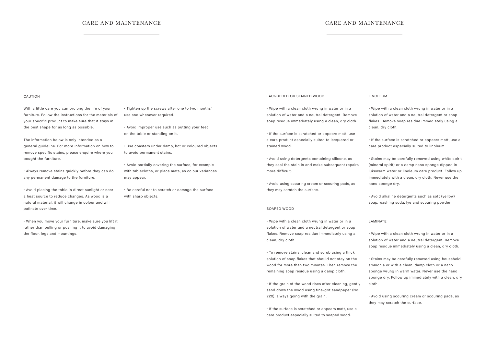## CARE AND MAINTENANCE CARE AND MAINTENANCE

#### CAUTION

With a little care you can prolong the life of your furniture. Follow the instructions for the materials of your specific product to make sure that it stays in the best shape for as long as possible.

The information below is only intended as a general guideline. For more information on how to remove specific stains, please enquire where you bought the furniture.

• Always remove stains quickly before they can do any permanent damage to the furniture.

• Avoid placing the table in direct sunlight or near a heat source to reduce changes. As wood is a natural material, it will change in colour and will patinate over time.

• When you move your furniture, make sure you lift it rather than pulling or pushing it to avoid damaging the floor, legs and mountings.

• Tighten up the screws after one to two months' use and whenever required.

• Avoid improper use such as putting your feet on the table or standing on it.

• Use coasters under damp, hot or coloured objects to avoid permanent stains.

• Avoid partially covering the surface, for example with tablecloths, or place mats, as colour variances may appear.

• Be careful not to scratch or damage the surface with sharp objects.

### LACQUERED OR STAINED WOOD

• Wipe with a clean cloth wrung in water or in a solution of water and a neutral detergent. Remove soap residue immediately using a clean, dry cloth.

• If the surface is scratched or appears matt, use a care product especially suited to lacquered or stained wood.

• Avoid using detergents containing silicone, as they seal the stain in and make subsequent repairs more difficult.

• Avoid using scouring cream or scouring pads, as they may scratch the surface.

#### SOAPED WOOD

• Wipe with a clean cloth wrung in water or in a solution of water and a neutral detergent or soap flakes. Remove soap residue immediately using a clean, dry cloth.

• To remove stains, clean and scrub using a thick solution of soap flakes that should not stay on the wood for more than two minutes. Then remove the remaining soap residue using a damp cloth.

• If the grain of the wood rises after cleaning, gently sand down the wood using fine-grit sandpaper (No. 220), always going with the grain.

• If the surface is scratched or appears matt, use a care product especially suited to soaped wood.

#### LINOLEUM

• Wipe with a clean cloth wrung in water or in a solution of water and a neutral detergent or soap flakes. Remove soap residue immediately using a clean, dry cloth.

• If the surface is scratched or appears matt, use a care product especially suited to linoleum.

• Stains may be carefully removed using white spirit (mineral spirit) or a damp nano sponge dipped in lukewarm water or linoleum care product. Follow up immediately with a clean, dry cloth. Never use the nano sponge dry.

• Avoid alkaline detergents such as soft (yellow) soap, washing soda, lye and scouring powder.

#### LAMINATE

• Wipe with a clean cloth wrung in water or in a solution of water and a neutral detergent. Remove soap residue immediately using a clean, dry cloth.

• Stains may be carefully removed using household ammonia or with a clean, damp cloth or a nano sponge wrung in warm water. Never use the nano sponge dry. Follow up immediately with a clean, dry cloth.

• Avoid using scouring cream or scouring pads, as they may scratch the surface.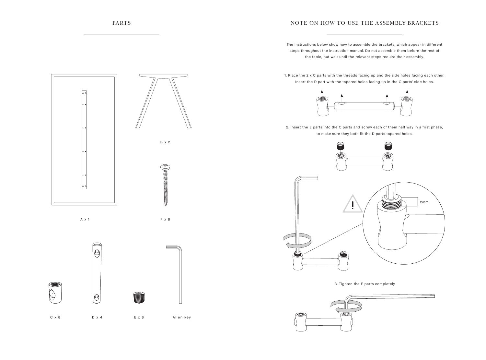# NOTE ON HOW TO USE THE ASSEMBLY BRACKETS

The instructions below show how to assemble the brackets, which appear in different steps throughout the instruction manual. Do not assemble them before the rest of the table, but wait until the relevant steps require their assembly.

1. Place the 2 x C parts with the threads facing up and the side holes facing each other. Insert the D part with the tapered holes facing up in the C parts' side holes.



2. Insert the E parts into the C parts and screw each of them half way in a first phase, to make sure they both fit the D parts tapered holes.





3. Tighten the E parts completely.







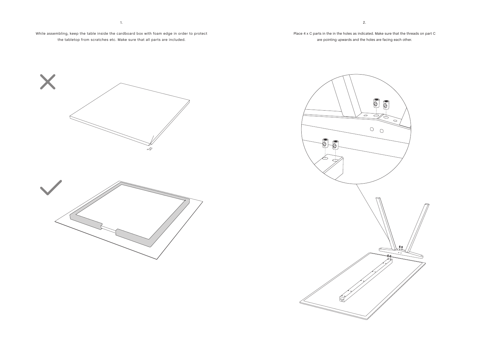While assembling, keep the table inside the cardboard box with foam edge in order to protect the tabletop from scratches etc. Make sure that all parts are included.

1.

Place 4 x C parts in the in the holes as indicated. Make sure that the threads on part C are pointing upwards and the holes are facing each other.





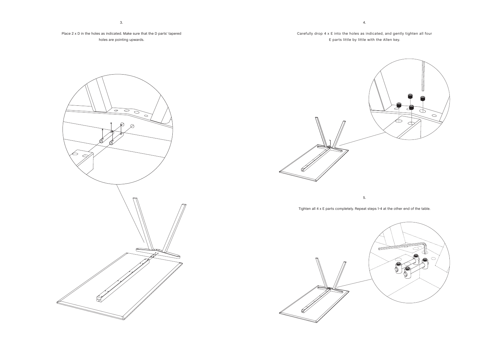# Place 2 x D in the holes as indicated. Make sure that the D parts' tapered holes are pointing upwards.

# Carefully drop 4 x E into the holes as indicated, and gently tighten all four E parts little by little with the Allen key.





5.

Tighten all 4 x E parts completely. Repeat steps 1-4 at the other end of the table.

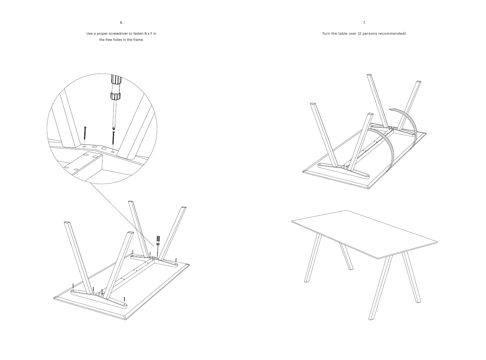7.

Turn the table over (2 persons recommended).

Use a proper screwdriver to fasten 8 x F in the free holes in the frame.